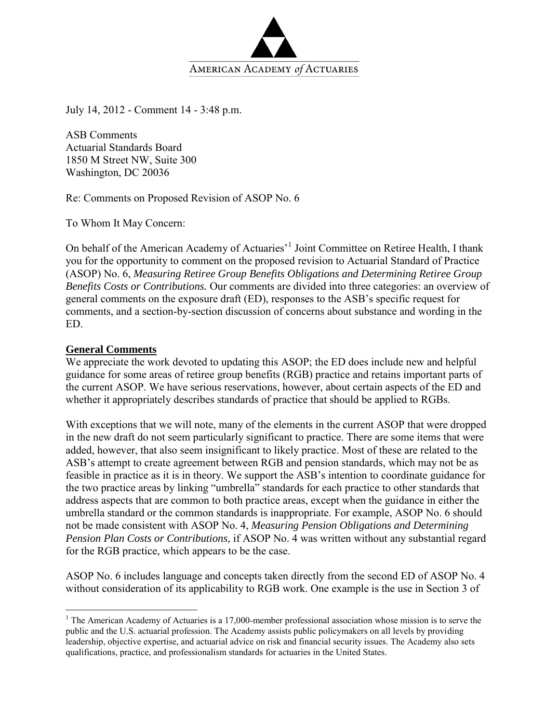

July 14, 2012 - Comment 14 - 3:48 p.m.

ASB Comments Actuarial Standards Board 1850 M Street NW, Suite 300 Washington, DC 20036

Re: Comments on Proposed Revision of ASOP No. 6

To Whom It May Concern:

On behalf of the American Academy of Actuaries<sup>1</sup> Joint Committee on Retiree Health, I thank you for the opportunity to comment on the proposed revision to Actuarial Standard of Practice (ASOP) No. 6, *Measuring Retiree Group Benefits Obligations and Determining Retiree Group Benefits Costs or Contributions.* Our comments are divided into three categories: an overview of general comments on the exposure draft (ED), responses to the ASB's specific request for comments, and a section-by-section discussion of concerns about substance and wording in the ED.

#### **General Comments**

 $\overline{a}$ 

We appreciate the work devoted to updating this ASOP; the ED does include new and helpful guidance for some areas of retiree group benefits (RGB) practice and retains important parts of the current ASOP. We have serious reservations, however, about certain aspects of the ED and whether it appropriately describes standards of practice that should be applied to RGBs.

With exceptions that we will note, many of the elements in the current ASOP that were dropped in the new draft do not seem particularly significant to practice. There are some items that were added, however, that also seem insignificant to likely practice. Most of these are related to the ASB's attempt to create agreement between RGB and pension standards, which may not be as feasible in practice as it is in theory. We support the ASB's intention to coordinate guidance for the two practice areas by linking "umbrella" standards for each practice to other standards that address aspects that are common to both practice areas, except when the guidance in either the umbrella standard or the common standards is inappropriate. For example, ASOP No. 6 should not be made consistent with ASOP No. 4, *Measuring Pension Obligations and Determining Pension Plan Costs or Contributions,* if ASOP No. 4 was written without any substantial regard for the RGB practice, which appears to be the case.

ASOP No. 6 includes language and concepts taken directly from the second ED of ASOP No. 4 without consideration of its applicability to RGB work. One example is the use in Section 3 of

<sup>&</sup>lt;sup>1</sup> The American Academy of Actuaries is a 17,000-member professional association whose mission is to serve the public and the U.S. actuarial profession. The Academy assists public policymakers on all levels by providing leadership, objective expertise, and actuarial advice on risk and financial security issues. The Academy also sets qualifications, practice, and professionalism standards for actuaries in the United States.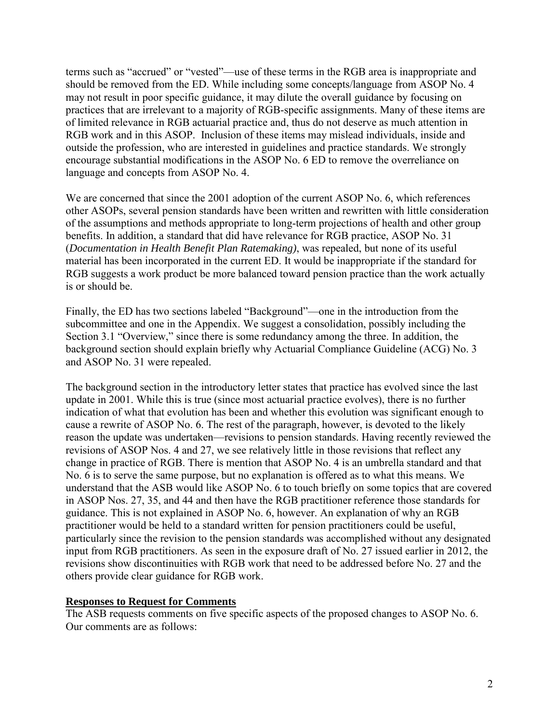terms such as "accrued" or "vested"—use of these terms in the RGB area is inappropriate and should be removed from the ED. While including some concepts/language from ASOP No. 4 may not result in poor specific guidance, it may dilute the overall guidance by focusing on practices that are irrelevant to a majority of RGB-specific assignments. Many of these items are of limited relevance in RGB actuarial practice and, thus do not deserve as much attention in RGB work and in this ASOP. Inclusion of these items may mislead individuals, inside and outside the profession, who are interested in guidelines and practice standards. We strongly encourage substantial modifications in the ASOP No. 6 ED to remove the overreliance on language and concepts from ASOP No. 4.

We are concerned that since the 2001 adoption of the current ASOP No. 6, which references other ASOPs, several pension standards have been written and rewritten with little consideration of the assumptions and methods appropriate to long-term projections of health and other group benefits. In addition, a standard that did have relevance for RGB practice, ASOP No. 31 (*Documentation in Health Benefit Plan Ratemaking)*, was repealed, but none of its useful material has been incorporated in the current ED. It would be inappropriate if the standard for RGB suggests a work product be more balanced toward pension practice than the work actually is or should be.

Finally, the ED has two sections labeled "Background"—one in the introduction from the subcommittee and one in the Appendix. We suggest a consolidation, possibly including the Section 3.1 "Overview," since there is some redundancy among the three. In addition, the background section should explain briefly why Actuarial Compliance Guideline (ACG) No. 3 and ASOP No. 31 were repealed.

The background section in the introductory letter states that practice has evolved since the last update in 2001. While this is true (since most actuarial practice evolves), there is no further indication of what that evolution has been and whether this evolution was significant enough to cause a rewrite of ASOP No. 6. The rest of the paragraph, however, is devoted to the likely reason the update was undertaken—revisions to pension standards. Having recently reviewed the revisions of ASOP Nos. 4 and 27, we see relatively little in those revisions that reflect any change in practice of RGB. There is mention that ASOP No. 4 is an umbrella standard and that No. 6 is to serve the same purpose, but no explanation is offered as to what this means. We understand that the ASB would like ASOP No. 6 to touch briefly on some topics that are covered in ASOP Nos. 27, 35, and 44 and then have the RGB practitioner reference those standards for guidance. This is not explained in ASOP No. 6, however. An explanation of why an RGB practitioner would be held to a standard written for pension practitioners could be useful, particularly since the revision to the pension standards was accomplished without any designated input from RGB practitioners. As seen in the exposure draft of No. 27 issued earlier in 2012, the revisions show discontinuities with RGB work that need to be addressed before No. 27 and the others provide clear guidance for RGB work.

## **Responses to Request for Comments**

The ASB requests comments on five specific aspects of the proposed changes to ASOP No. 6. Our comments are as follows: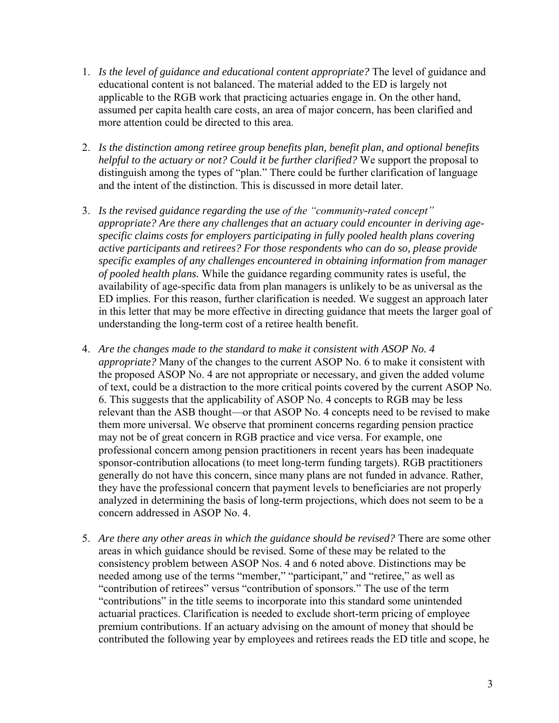- 1. *Is the level of guidance and educational content appropriate?* The level of guidance and educational content is not balanced. The material added to the ED is largely not applicable to the RGB work that practicing actuaries engage in. On the other hand, assumed per capita health care costs, an area of major concern, has been clarified and more attention could be directed to this area.
- 2. *Is the distinction among retiree group benefits plan, benefit plan, and optional benefits helpful to the actuary or not? Could it be further clarified?* We support the proposal to distinguish among the types of "plan." There could be further clarification of language and the intent of the distinction. This is discussed in more detail later.
- 3. *Is the revised guidance regarding the use of the "community-rated concept" appropriate? Are there any challenges that an actuary could encounter in deriving agespecific claims costs for employers participating in fully pooled health plans covering active participants and retirees? For those respondents who can do so, please provide specific examples of any challenges encountered in obtaining information from manager of pooled health plans.* While the guidance regarding community rates is useful, the availability of age-specific data from plan managers is unlikely to be as universal as the ED implies. For this reason, further clarification is needed. We suggest an approach later in this letter that may be more effective in directing guidance that meets the larger goal of understanding the long-term cost of a retiree health benefit.
- 4. *Are the changes made to the standard to make it consistent with ASOP No. 4 appropriate?* Many of the changes to the current ASOP No. 6 to make it consistent with the proposed ASOP No. 4 are not appropriate or necessary, and given the added volume of text, could be a distraction to the more critical points covered by the current ASOP No. 6. This suggests that the applicability of ASOP No. 4 concepts to RGB may be less relevant than the ASB thought—or that ASOP No. 4 concepts need to be revised to make them more universal. We observe that prominent concerns regarding pension practice may not be of great concern in RGB practice and vice versa. For example, one professional concern among pension practitioners in recent years has been inadequate sponsor-contribution allocations (to meet long-term funding targets). RGB practitioners generally do not have this concern, since many plans are not funded in advance. Rather, they have the professional concern that payment levels to beneficiaries are not properly analyzed in determining the basis of long-term projections, which does not seem to be a concern addressed in ASOP No. 4.
- 5. *Are there any other areas in which the guidance should be revised?* There are some other areas in which guidance should be revised. Some of these may be related to the consistency problem between ASOP Nos. 4 and 6 noted above. Distinctions may be needed among use of the terms "member," "participant," and "retiree," as well as "contribution of retirees" versus "contribution of sponsors." The use of the term "contributions" in the title seems to incorporate into this standard some unintended actuarial practices. Clarification is needed to exclude short-term pricing of employee premium contributions. If an actuary advising on the amount of money that should be contributed the following year by employees and retirees reads the ED title and scope, he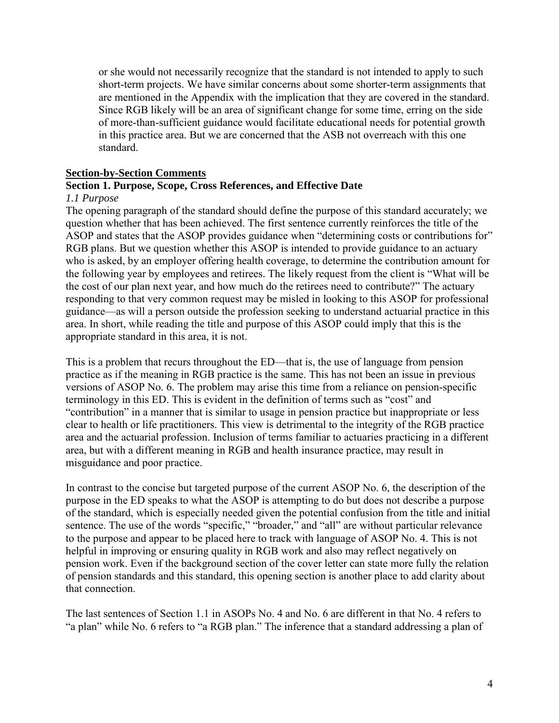or she would not necessarily recognize that the standard is not intended to apply to such short-term projects. We have similar concerns about some shorter-term assignments that are mentioned in the Appendix with the implication that they are covered in the standard. Since RGB likely will be an area of significant change for some time, erring on the side of more-than-sufficient guidance would facilitate educational needs for potential growth in this practice area. But we are concerned that the ASB not overreach with this one standard.

#### **Section-by-Section Comments**

# **Section 1. Purpose, Scope, Cross References, and Effective Date**

#### *1.1 Purpose*

The opening paragraph of the standard should define the purpose of this standard accurately; we question whether that has been achieved. The first sentence currently reinforces the title of the ASOP and states that the ASOP provides guidance when "determining costs or contributions for" RGB plans. But we question whether this ASOP is intended to provide guidance to an actuary who is asked, by an employer offering health coverage, to determine the contribution amount for the following year by employees and retirees. The likely request from the client is "What will be the cost of our plan next year, and how much do the retirees need to contribute?" The actuary responding to that very common request may be misled in looking to this ASOP for professional guidance—as will a person outside the profession seeking to understand actuarial practice in this area. In short, while reading the title and purpose of this ASOP could imply that this is the appropriate standard in this area, it is not.

This is a problem that recurs throughout the ED—that is, the use of language from pension practice as if the meaning in RGB practice is the same. This has not been an issue in previous versions of ASOP No. 6. The problem may arise this time from a reliance on pension-specific terminology in this ED. This is evident in the definition of terms such as "cost" and "contribution" in a manner that is similar to usage in pension practice but inappropriate or less clear to health or life practitioners. This view is detrimental to the integrity of the RGB practice area and the actuarial profession. Inclusion of terms familiar to actuaries practicing in a different area, but with a different meaning in RGB and health insurance practice, may result in misguidance and poor practice.

In contrast to the concise but targeted purpose of the current ASOP No. 6, the description of the purpose in the ED speaks to what the ASOP is attempting to do but does not describe a purpose of the standard, which is especially needed given the potential confusion from the title and initial sentence. The use of the words "specific," "broader," and "all" are without particular relevance to the purpose and appear to be placed here to track with language of ASOP No. 4. This is not helpful in improving or ensuring quality in RGB work and also may reflect negatively on pension work. Even if the background section of the cover letter can state more fully the relation of pension standards and this standard, this opening section is another place to add clarity about that connection.

The last sentences of Section 1.1 in ASOPs No. 4 and No. 6 are different in that No. 4 refers to "a plan" while No. 6 refers to "a RGB plan." The inference that a standard addressing a plan of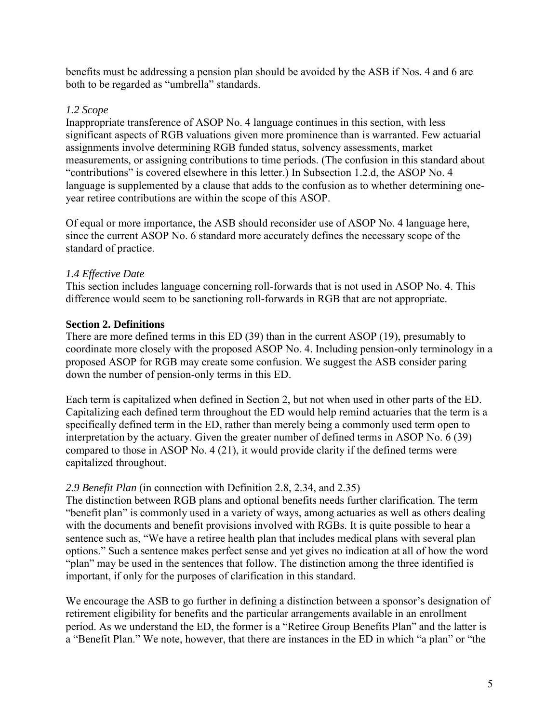benefits must be addressing a pension plan should be avoided by the ASB if Nos. 4 and 6 are both to be regarded as "umbrella" standards.

# *1.2 Scope*

Inappropriate transference of ASOP No. 4 language continues in this section, with less significant aspects of RGB valuations given more prominence than is warranted. Few actuarial assignments involve determining RGB funded status, solvency assessments, market measurements, or assigning contributions to time periods. (The confusion in this standard about "contributions" is covered elsewhere in this letter.) In Subsection 1.2.d, the ASOP No. 4 language is supplemented by a clause that adds to the confusion as to whether determining oneyear retiree contributions are within the scope of this ASOP.

Of equal or more importance, the ASB should reconsider use of ASOP No. 4 language here, since the current ASOP No. 6 standard more accurately defines the necessary scope of the standard of practice.

# *1.4 Effective Date*

This section includes language concerning roll-forwards that is not used in ASOP No. 4. This difference would seem to be sanctioning roll-forwards in RGB that are not appropriate.

# **Section 2. Definitions**

There are more defined terms in this ED (39) than in the current ASOP (19), presumably to coordinate more closely with the proposed ASOP No. 4. Including pension-only terminology in a proposed ASOP for RGB may create some confusion. We suggest the ASB consider paring down the number of pension-only terms in this ED.

Each term is capitalized when defined in Section 2, but not when used in other parts of the ED. Capitalizing each defined term throughout the ED would help remind actuaries that the term is a specifically defined term in the ED, rather than merely being a commonly used term open to interpretation by the actuary. Given the greater number of defined terms in ASOP No. 6 (39) compared to those in ASOP No. 4 (21), it would provide clarity if the defined terms were capitalized throughout.

# *2.9 Benefit Plan* (in connection with Definition 2.8, 2.34, and 2.35)

The distinction between RGB plans and optional benefits needs further clarification. The term "benefit plan" is commonly used in a variety of ways, among actuaries as well as others dealing with the documents and benefit provisions involved with RGBs. It is quite possible to hear a sentence such as, "We have a retiree health plan that includes medical plans with several plan options." Such a sentence makes perfect sense and yet gives no indication at all of how the word "plan" may be used in the sentences that follow. The distinction among the three identified is important, if only for the purposes of clarification in this standard.

We encourage the ASB to go further in defining a distinction between a sponsor's designation of retirement eligibility for benefits and the particular arrangements available in an enrollment period. As we understand the ED, the former is a "Retiree Group Benefits Plan" and the latter is a "Benefit Plan." We note, however, that there are instances in the ED in which "a plan" or "the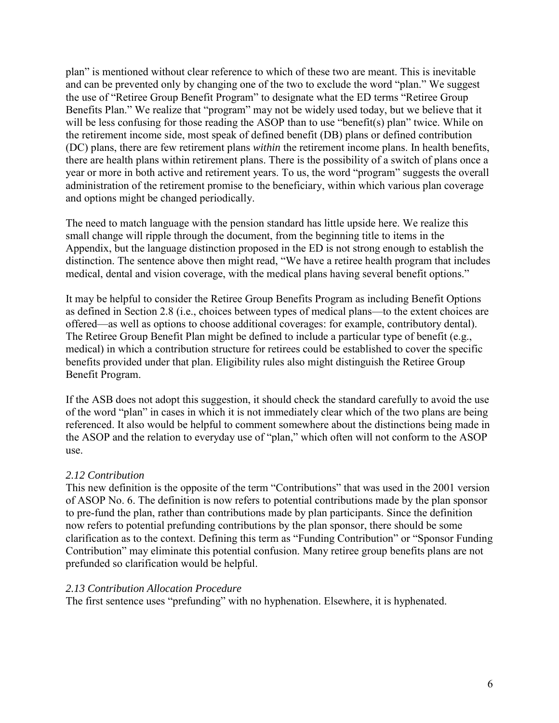plan" is mentioned without clear reference to which of these two are meant. This is inevitable and can be prevented only by changing one of the two to exclude the word "plan." We suggest the use of "Retiree Group Benefit Program" to designate what the ED terms "Retiree Group Benefits Plan." We realize that "program" may not be widely used today, but we believe that it will be less confusing for those reading the ASOP than to use "benefit(s) plan" twice. While on the retirement income side, most speak of defined benefit (DB) plans or defined contribution (DC) plans, there are few retirement plans *within* the retirement income plans. In health benefits, there are health plans within retirement plans. There is the possibility of a switch of plans once a year or more in both active and retirement years. To us, the word "program" suggests the overall administration of the retirement promise to the beneficiary, within which various plan coverage and options might be changed periodically.

The need to match language with the pension standard has little upside here. We realize this small change will ripple through the document, from the beginning title to items in the Appendix, but the language distinction proposed in the ED is not strong enough to establish the distinction. The sentence above then might read, "We have a retiree health program that includes medical, dental and vision coverage, with the medical plans having several benefit options."

It may be helpful to consider the Retiree Group Benefits Program as including Benefit Options as defined in Section 2.8 (i.e., choices between types of medical plans—to the extent choices are offered—as well as options to choose additional coverages: for example, contributory dental). The Retiree Group Benefit Plan might be defined to include a particular type of benefit (e.g., medical) in which a contribution structure for retirees could be established to cover the specific benefits provided under that plan. Eligibility rules also might distinguish the Retiree Group Benefit Program.

If the ASB does not adopt this suggestion, it should check the standard carefully to avoid the use of the word "plan" in cases in which it is not immediately clear which of the two plans are being referenced. It also would be helpful to comment somewhere about the distinctions being made in the ASOP and the relation to everyday use of "plan," which often will not conform to the ASOP use.

# *2.12 Contribution*

This new definition is the opposite of the term "Contributions" that was used in the 2001 version of ASOP No. 6. The definition is now refers to potential contributions made by the plan sponsor to pre-fund the plan, rather than contributions made by plan participants. Since the definition now refers to potential prefunding contributions by the plan sponsor, there should be some clarification as to the context. Defining this term as "Funding Contribution" or "Sponsor Funding Contribution" may eliminate this potential confusion. Many retiree group benefits plans are not prefunded so clarification would be helpful.

# *2.13 Contribution Allocation Procedure*

The first sentence uses "prefunding" with no hyphenation. Elsewhere, it is hyphenated.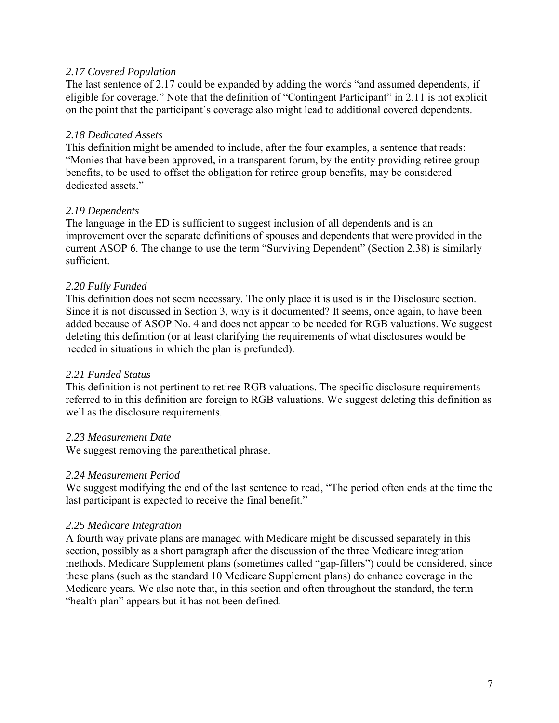## *2.17 Covered Population*

The last sentence of 2.17 could be expanded by adding the words "and assumed dependents, if eligible for coverage." Note that the definition of "Contingent Participant" in 2.11 is not explicit on the point that the participant's coverage also might lead to additional covered dependents.

## *2.18 Dedicated Assets*

This definition might be amended to include, after the four examples, a sentence that reads: "Monies that have been approved, in a transparent forum, by the entity providing retiree group benefits, to be used to offset the obligation for retiree group benefits, may be considered dedicated assets."

## *2.19 Dependents*

The language in the ED is sufficient to suggest inclusion of all dependents and is an improvement over the separate definitions of spouses and dependents that were provided in the current ASOP 6. The change to use the term "Surviving Dependent" (Section 2.38) is similarly sufficient.

# *2.20 Fully Funded*

This definition does not seem necessary. The only place it is used is in the Disclosure section. Since it is not discussed in Section 3, why is it documented? It seems, once again, to have been added because of ASOP No. 4 and does not appear to be needed for RGB valuations. We suggest deleting this definition (or at least clarifying the requirements of what disclosures would be needed in situations in which the plan is prefunded).

### *2.21 Funded Status*

This definition is not pertinent to retiree RGB valuations. The specific disclosure requirements referred to in this definition are foreign to RGB valuations. We suggest deleting this definition as well as the disclosure requirements.

### *2.23 Measurement Date*

We suggest removing the parenthetical phrase.

### *2.24 Measurement Period*

We suggest modifying the end of the last sentence to read, "The period often ends at the time the last participant is expected to receive the final benefit."

### *2.25 Medicare Integration*

A fourth way private plans are managed with Medicare might be discussed separately in this section, possibly as a short paragraph after the discussion of the three Medicare integration methods. Medicare Supplement plans (sometimes called "gap-fillers") could be considered, since these plans (such as the standard 10 Medicare Supplement plans) do enhance coverage in the Medicare years. We also note that, in this section and often throughout the standard, the term "health plan" appears but it has not been defined.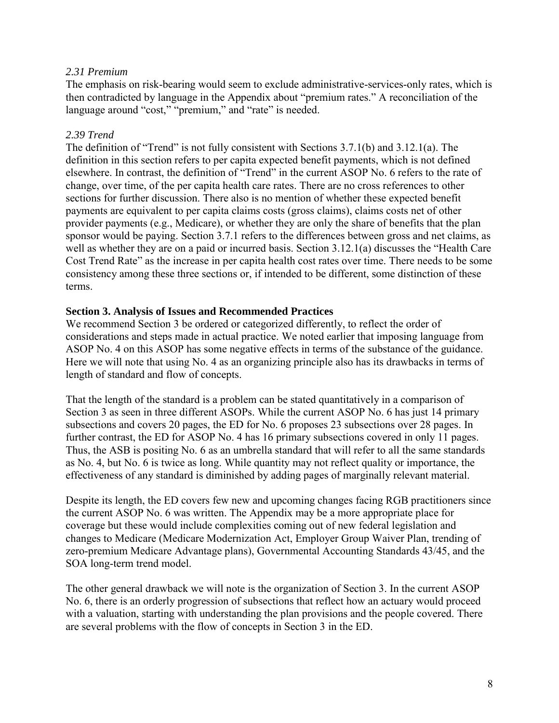## *2.31 Premium*

The emphasis on risk-bearing would seem to exclude administrative-services-only rates, which is then contradicted by language in the Appendix about "premium rates." A reconciliation of the language around "cost," "premium," and "rate" is needed.

## *2.39 Trend*

The definition of "Trend" is not fully consistent with Sections 3.7.1(b) and 3.12.1(a). The definition in this section refers to per capita expected benefit payments, which is not defined elsewhere. In contrast, the definition of "Trend" in the current ASOP No. 6 refers to the rate of change, over time, of the per capita health care rates. There are no cross references to other sections for further discussion. There also is no mention of whether these expected benefit payments are equivalent to per capita claims costs (gross claims), claims costs net of other provider payments (e.g., Medicare), or whether they are only the share of benefits that the plan sponsor would be paying. Section 3.7.1 refers to the differences between gross and net claims, as well as whether they are on a paid or incurred basis. Section 3.12.1(a) discusses the "Health Care Cost Trend Rate" as the increase in per capita health cost rates over time. There needs to be some consistency among these three sections or, if intended to be different, some distinction of these terms.

### **Section 3. Analysis of Issues and Recommended Practices**

We recommend Section 3 be ordered or categorized differently, to reflect the order of considerations and steps made in actual practice. We noted earlier that imposing language from ASOP No. 4 on this ASOP has some negative effects in terms of the substance of the guidance. Here we will note that using No. 4 as an organizing principle also has its drawbacks in terms of length of standard and flow of concepts.

That the length of the standard is a problem can be stated quantitatively in a comparison of Section 3 as seen in three different ASOPs. While the current ASOP No. 6 has just 14 primary subsections and covers 20 pages, the ED for No. 6 proposes 23 subsections over 28 pages. In further contrast, the ED for ASOP No. 4 has 16 primary subsections covered in only 11 pages. Thus, the ASB is positing No. 6 as an umbrella standard that will refer to all the same standards as No. 4, but No. 6 is twice as long. While quantity may not reflect quality or importance, the effectiveness of any standard is diminished by adding pages of marginally relevant material.

Despite its length, the ED covers few new and upcoming changes facing RGB practitioners since the current ASOP No. 6 was written. The Appendix may be a more appropriate place for coverage but these would include complexities coming out of new federal legislation and changes to Medicare (Medicare Modernization Act, Employer Group Waiver Plan, trending of zero-premium Medicare Advantage plans), Governmental Accounting Standards 43/45, and the SOA long-term trend model.

The other general drawback we will note is the organization of Section 3. In the current ASOP No. 6, there is an orderly progression of subsections that reflect how an actuary would proceed with a valuation, starting with understanding the plan provisions and the people covered. There are several problems with the flow of concepts in Section 3 in the ED.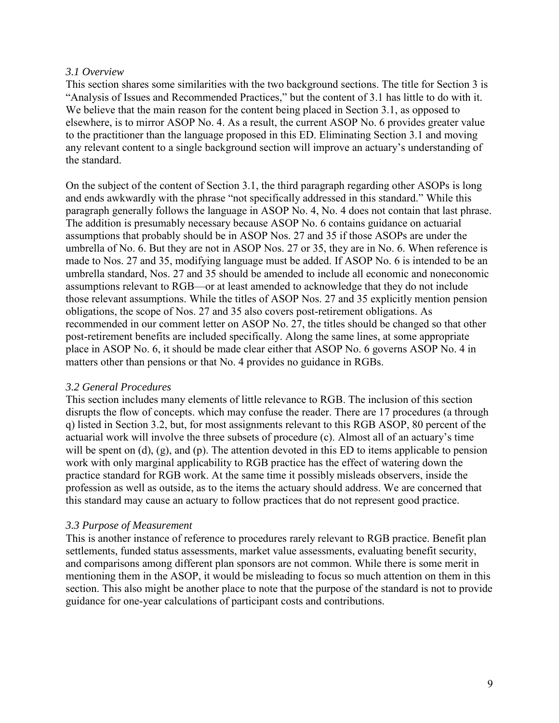## *3.1 Overview*

This section shares some similarities with the two background sections. The title for Section 3 is "Analysis of Issues and Recommended Practices," but the content of 3.1 has little to do with it. We believe that the main reason for the content being placed in Section 3.1, as opposed to elsewhere, is to mirror ASOP No. 4. As a result, the current ASOP No. 6 provides greater value to the practitioner than the language proposed in this ED. Eliminating Section 3.1 and moving any relevant content to a single background section will improve an actuary's understanding of the standard.

On the subject of the content of Section 3.1, the third paragraph regarding other ASOPs is long and ends awkwardly with the phrase "not specifically addressed in this standard." While this paragraph generally follows the language in ASOP No. 4, No. 4 does not contain that last phrase. The addition is presumably necessary because ASOP No. 6 contains guidance on actuarial assumptions that probably should be in ASOP Nos. 27 and 35 if those ASOPs are under the umbrella of No. 6. But they are not in ASOP Nos. 27 or 35, they are in No. 6. When reference is made to Nos. 27 and 35, modifying language must be added. If ASOP No. 6 is intended to be an umbrella standard, Nos. 27 and 35 should be amended to include all economic and noneconomic assumptions relevant to RGB—or at least amended to acknowledge that they do not include those relevant assumptions. While the titles of ASOP Nos. 27 and 35 explicitly mention pension obligations, the scope of Nos. 27 and 35 also covers post-retirement obligations. As recommended in our comment letter on ASOP No. 27, the titles should be changed so that other post-retirement benefits are included specifically. Along the same lines, at some appropriate place in ASOP No. 6, it should be made clear either that ASOP No. 6 governs ASOP No. 4 in matters other than pensions or that No. 4 provides no guidance in RGBs.

# *3.2 General Procedures*

This section includes many elements of little relevance to RGB. The inclusion of this section disrupts the flow of concepts. which may confuse the reader. There are 17 procedures (a through q) listed in Section 3.2, but, for most assignments relevant to this RGB ASOP, 80 percent of the actuarial work will involve the three subsets of procedure (c). Almost all of an actuary's time will be spent on (d), (g), and (p). The attention devoted in this ED to items applicable to pension work with only marginal applicability to RGB practice has the effect of watering down the practice standard for RGB work. At the same time it possibly misleads observers, inside the profession as well as outside, as to the items the actuary should address. We are concerned that this standard may cause an actuary to follow practices that do not represent good practice.

# *3.3 Purpose of Measurement*

This is another instance of reference to procedures rarely relevant to RGB practice. Benefit plan settlements, funded status assessments, market value assessments, evaluating benefit security, and comparisons among different plan sponsors are not common. While there is some merit in mentioning them in the ASOP, it would be misleading to focus so much attention on them in this section. This also might be another place to note that the purpose of the standard is not to provide guidance for one-year calculations of participant costs and contributions.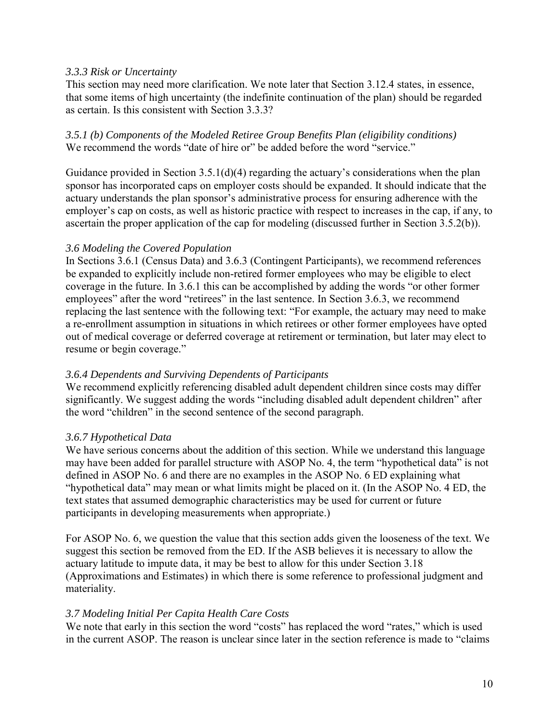## *3.3.3 Risk or Uncertainty*

This section may need more clarification. We note later that Section 3.12.4 states, in essence, that some items of high uncertainty (the indefinite continuation of the plan) should be regarded as certain. Is this consistent with Section 3.3.3?

# *3.5.1 (b) Components of the Modeled Retiree Group Benefits Plan (eligibility conditions)*  We recommend the words "date of hire or" be added before the word "service."

Guidance provided in Section 3.5.1(d)(4) regarding the actuary's considerations when the plan sponsor has incorporated caps on employer costs should be expanded. It should indicate that the actuary understands the plan sponsor's administrative process for ensuring adherence with the employer's cap on costs, as well as historic practice with respect to increases in the cap, if any, to ascertain the proper application of the cap for modeling (discussed further in Section 3.5.2(b)).

## *3.6 Modeling the Covered Population*

In Sections 3.6.1 (Census Data) and 3.6.3 (Contingent Participants), we recommend references be expanded to explicitly include non-retired former employees who may be eligible to elect coverage in the future. In 3.6.1 this can be accomplished by adding the words "or other former employees" after the word "retirees" in the last sentence. In Section 3.6.3, we recommend replacing the last sentence with the following text: "For example, the actuary may need to make a re-enrollment assumption in situations in which retirees or other former employees have opted out of medical coverage or deferred coverage at retirement or termination, but later may elect to resume or begin coverage."

# *3.6.4 Dependents and Surviving Dependents of Participants*

We recommend explicitly referencing disabled adult dependent children since costs may differ significantly. We suggest adding the words "including disabled adult dependent children" after the word "children" in the second sentence of the second paragraph.

# *3.6.7 Hypothetical Data*

We have serious concerns about the addition of this section. While we understand this language may have been added for parallel structure with ASOP No. 4, the term "hypothetical data" is not defined in ASOP No. 6 and there are no examples in the ASOP No. 6 ED explaining what "hypothetical data" may mean or what limits might be placed on it. (In the ASOP No. 4 ED, the text states that assumed demographic characteristics may be used for current or future participants in developing measurements when appropriate.)

For ASOP No. 6, we question the value that this section adds given the looseness of the text. We suggest this section be removed from the ED. If the ASB believes it is necessary to allow the actuary latitude to impute data, it may be best to allow for this under Section 3.18 (Approximations and Estimates) in which there is some reference to professional judgment and materiality.

### *3.7 Modeling Initial Per Capita Health Care Costs*

We note that early in this section the word "costs" has replaced the word "rates," which is used in the current ASOP. The reason is unclear since later in the section reference is made to "claims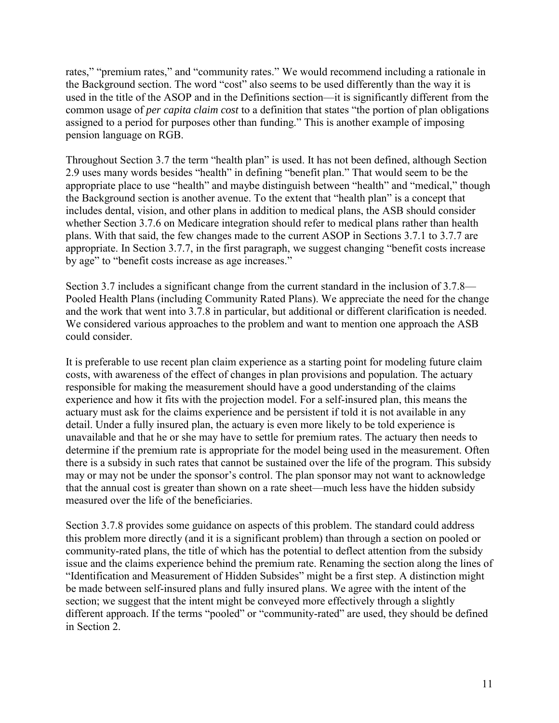rates," "premium rates," and "community rates." We would recommend including a rationale in the Background section. The word "cost" also seems to be used differently than the way it is used in the title of the ASOP and in the Definitions section—it is significantly different from the common usage of *per capita claim cost* to a definition that states "the portion of plan obligations assigned to a period for purposes other than funding." This is another example of imposing pension language on RGB.

Throughout Section 3.7 the term "health plan" is used. It has not been defined, although Section 2.9 uses many words besides "health" in defining "benefit plan." That would seem to be the appropriate place to use "health" and maybe distinguish between "health" and "medical," though the Background section is another avenue. To the extent that "health plan" is a concept that includes dental, vision, and other plans in addition to medical plans, the ASB should consider whether Section 3.7.6 on Medicare integration should refer to medical plans rather than health plans. With that said, the few changes made to the current ASOP in Sections 3.7.1 to 3.7.7 are appropriate. In Section 3.7.7, in the first paragraph, we suggest changing "benefit costs increase by age" to "benefit costs increase as age increases."

Section 3.7 includes a significant change from the current standard in the inclusion of 3.7.8— Pooled Health Plans (including Community Rated Plans). We appreciate the need for the change and the work that went into 3.7.8 in particular, but additional or different clarification is needed. We considered various approaches to the problem and want to mention one approach the ASB could consider.

It is preferable to use recent plan claim experience as a starting point for modeling future claim costs, with awareness of the effect of changes in plan provisions and population. The actuary responsible for making the measurement should have a good understanding of the claims experience and how it fits with the projection model. For a self-insured plan, this means the actuary must ask for the claims experience and be persistent if told it is not available in any detail. Under a fully insured plan, the actuary is even more likely to be told experience is unavailable and that he or she may have to settle for premium rates. The actuary then needs to determine if the premium rate is appropriate for the model being used in the measurement. Often there is a subsidy in such rates that cannot be sustained over the life of the program. This subsidy may or may not be under the sponsor's control. The plan sponsor may not want to acknowledge that the annual cost is greater than shown on a rate sheet—much less have the hidden subsidy measured over the life of the beneficiaries.

Section 3.7.8 provides some guidance on aspects of this problem. The standard could address this problem more directly (and it is a significant problem) than through a section on pooled or community-rated plans, the title of which has the potential to deflect attention from the subsidy issue and the claims experience behind the premium rate. Renaming the section along the lines of "Identification and Measurement of Hidden Subsides" might be a first step. A distinction might be made between self-insured plans and fully insured plans. We agree with the intent of the section; we suggest that the intent might be conveyed more effectively through a slightly different approach. If the terms "pooled" or "community-rated" are used, they should be defined in Section 2.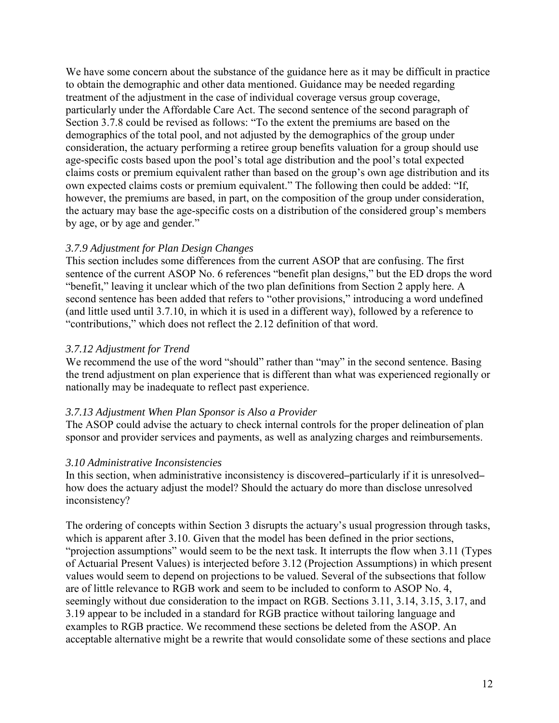We have some concern about the substance of the guidance here as it may be difficult in practice to obtain the demographic and other data mentioned. Guidance may be needed regarding treatment of the adjustment in the case of individual coverage versus group coverage, particularly under the Affordable Care Act. The second sentence of the second paragraph of Section 3.7.8 could be revised as follows: "To the extent the premiums are based on the demographics of the total pool, and not adjusted by the demographics of the group under consideration, the actuary performing a retiree group benefits valuation for a group should use age-specific costs based upon the pool's total age distribution and the pool's total expected claims costs or premium equivalent rather than based on the group's own age distribution and its own expected claims costs or premium equivalent." The following then could be added: "If, however, the premiums are based, in part, on the composition of the group under consideration, the actuary may base the age-specific costs on a distribution of the considered group's members by age, or by age and gender."

## *3.7.9 Adjustment for Plan Design Changes*

This section includes some differences from the current ASOP that are confusing. The first sentence of the current ASOP No. 6 references "benefit plan designs," but the ED drops the word "benefit," leaving it unclear which of the two plan definitions from Section 2 apply here. A second sentence has been added that refers to "other provisions," introducing a word undefined (and little used until 3.7.10, in which it is used in a different way), followed by a reference to "contributions," which does not reflect the 2.12 definition of that word.

# *3.7.12 Adjustment for Trend*

We recommend the use of the word "should" rather than "may" in the second sentence. Basing the trend adjustment on plan experience that is different than what was experienced regionally or nationally may be inadequate to reflect past experience.

### *3.7.13 Adjustment When Plan Sponsor is Also a Provider*

The ASOP could advise the actuary to check internal controls for the proper delineation of plan sponsor and provider services and payments, as well as analyzing charges and reimbursements.

### *3.10 Administrative Inconsistencies*

In this section, when administrative inconsistency is discovered—particularly if it is unresolved how does the actuary adjust the model? Should the actuary do more than disclose unresolved inconsistency?

The ordering of concepts within Section 3 disrupts the actuary's usual progression through tasks, which is apparent after 3.10. Given that the model has been defined in the prior sections, "projection assumptions" would seem to be the next task. It interrupts the flow when 3.11 (Types of Actuarial Present Values) is interjected before 3.12 (Projection Assumptions) in which present values would seem to depend on projections to be valued. Several of the subsections that follow are of little relevance to RGB work and seem to be included to conform to ASOP No. 4, seemingly without due consideration to the impact on RGB. Sections 3.11, 3.14, 3.15, 3.17, and 3.19 appear to be included in a standard for RGB practice without tailoring language and examples to RGB practice. We recommend these sections be deleted from the ASOP. An acceptable alternative might be a rewrite that would consolidate some of these sections and place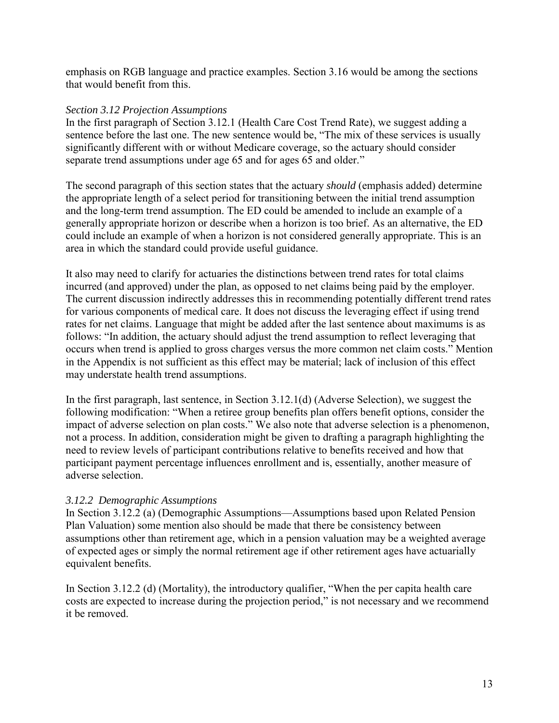emphasis on RGB language and practice examples. Section 3.16 would be among the sections that would benefit from this.

### *Section 3.12 Projection Assumptions*

In the first paragraph of Section 3.12.1 (Health Care Cost Trend Rate), we suggest adding a sentence before the last one. The new sentence would be, "The mix of these services is usually significantly different with or without Medicare coverage, so the actuary should consider separate trend assumptions under age 65 and for ages 65 and older."

The second paragraph of this section states that the actuary *should* (emphasis added) determine the appropriate length of a select period for transitioning between the initial trend assumption and the long-term trend assumption. The ED could be amended to include an example of a generally appropriate horizon or describe when a horizon is too brief. As an alternative, the ED could include an example of when a horizon is not considered generally appropriate. This is an area in which the standard could provide useful guidance.

It also may need to clarify for actuaries the distinctions between trend rates for total claims incurred (and approved) under the plan, as opposed to net claims being paid by the employer. The current discussion indirectly addresses this in recommending potentially different trend rates for various components of medical care. It does not discuss the leveraging effect if using trend rates for net claims. Language that might be added after the last sentence about maximums is as follows: "In addition, the actuary should adjust the trend assumption to reflect leveraging that occurs when trend is applied to gross charges versus the more common net claim costs." Mention in the Appendix is not sufficient as this effect may be material; lack of inclusion of this effect may understate health trend assumptions.

In the first paragraph, last sentence, in Section 3.12.1(d) (Adverse Selection), we suggest the following modification: "When a retiree group benefits plan offers benefit options, consider the impact of adverse selection on plan costs." We also note that adverse selection is a phenomenon, not a process. In addition, consideration might be given to drafting a paragraph highlighting the need to review levels of participant contributions relative to benefits received and how that participant payment percentage influences enrollment and is, essentially, another measure of adverse selection.

# *3.12.2 Demographic Assumptions*

In Section 3.12.2 (a) (Demographic Assumptions—Assumptions based upon Related Pension Plan Valuation) some mention also should be made that there be consistency between assumptions other than retirement age, which in a pension valuation may be a weighted average of expected ages or simply the normal retirement age if other retirement ages have actuarially equivalent benefits.

In Section 3.12.2 (d) (Mortality), the introductory qualifier, "When the per capita health care costs are expected to increase during the projection period," is not necessary and we recommend it be removed.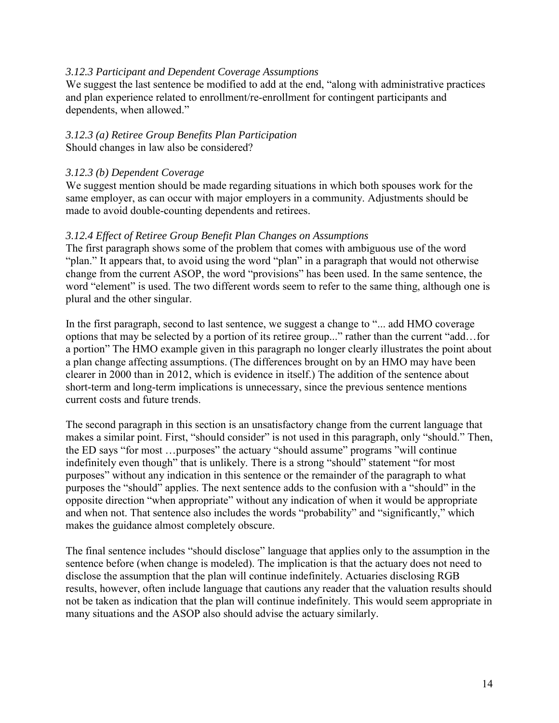## *3.12.3 Participant and Dependent Coverage Assumptions*

We suggest the last sentence be modified to add at the end, "along with administrative practices" and plan experience related to enrollment/re-enrollment for contingent participants and dependents, when allowed."

#### *3.12.3 (a) Retiree Group Benefits Plan Participation*  Should changes in law also be considered?

# *3.12.3 (b) Dependent Coverage*

We suggest mention should be made regarding situations in which both spouses work for the same employer, as can occur with major employers in a community. Adjustments should be made to avoid double-counting dependents and retirees.

# *3.12.4 Effect of Retiree Group Benefit Plan Changes on Assumptions*

The first paragraph shows some of the problem that comes with ambiguous use of the word "plan." It appears that, to avoid using the word "plan" in a paragraph that would not otherwise change from the current ASOP, the word "provisions" has been used. In the same sentence, the word "element" is used. The two different words seem to refer to the same thing, although one is plural and the other singular.

In the first paragraph, second to last sentence, we suggest a change to "... add HMO coverage options that may be selected by a portion of its retiree group..." rather than the current "add…for a portion" The HMO example given in this paragraph no longer clearly illustrates the point about a plan change affecting assumptions. (The differences brought on by an HMO may have been clearer in 2000 than in 2012, which is evidence in itself.) The addition of the sentence about short-term and long-term implications is unnecessary, since the previous sentence mentions current costs and future trends.

The second paragraph in this section is an unsatisfactory change from the current language that makes a similar point. First, "should consider" is not used in this paragraph, only "should." Then, the ED says "for most …purposes" the actuary "should assume" programs "will continue indefinitely even though" that is unlikely. There is a strong "should" statement "for most purposes" without any indication in this sentence or the remainder of the paragraph to what purposes the "should" applies. The next sentence adds to the confusion with a "should" in the opposite direction "when appropriate" without any indication of when it would be appropriate and when not. That sentence also includes the words "probability" and "significantly," which makes the guidance almost completely obscure.

The final sentence includes "should disclose" language that applies only to the assumption in the sentence before (when change is modeled). The implication is that the actuary does not need to disclose the assumption that the plan will continue indefinitely. Actuaries disclosing RGB results, however, often include language that cautions any reader that the valuation results should not be taken as indication that the plan will continue indefinitely. This would seem appropriate in many situations and the ASOP also should advise the actuary similarly.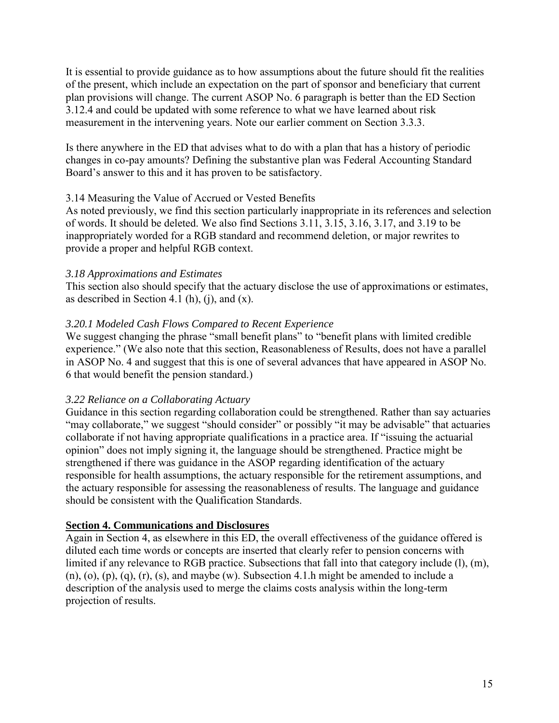It is essential to provide guidance as to how assumptions about the future should fit the realities of the present, which include an expectation on the part of sponsor and beneficiary that current plan provisions will change. The current ASOP No. 6 paragraph is better than the ED Section 3.12.4 and could be updated with some reference to what we have learned about risk measurement in the intervening years. Note our earlier comment on Section 3.3.3.

Is there anywhere in the ED that advises what to do with a plan that has a history of periodic changes in co-pay amounts? Defining the substantive plan was Federal Accounting Standard Board's answer to this and it has proven to be satisfactory.

# 3.14 Measuring the Value of Accrued or Vested Benefits

As noted previously, we find this section particularly inappropriate in its references and selection of words. It should be deleted. We also find Sections 3.11, 3.15, 3.16, 3.17, and 3.19 to be inappropriately worded for a RGB standard and recommend deletion, or major rewrites to provide a proper and helpful RGB context.

# *3.18 Approximations and Estimates*

This section also should specify that the actuary disclose the use of approximations or estimates, as described in Section 4.1 (h), (j), and  $(x)$ .

# *3.20.1 Modeled Cash Flows Compared to Recent Experience*

We suggest changing the phrase "small benefit plans" to "benefit plans with limited credible experience." (We also note that this section, Reasonableness of Results, does not have a parallel in ASOP No. 4 and suggest that this is one of several advances that have appeared in ASOP No. 6 that would benefit the pension standard.)

# *3.22 Reliance on a Collaborating Actuary*

Guidance in this section regarding collaboration could be strengthened. Rather than say actuaries "may collaborate," we suggest "should consider" or possibly "it may be advisable" that actuaries collaborate if not having appropriate qualifications in a practice area. If "issuing the actuarial opinion" does not imply signing it, the language should be strengthened. Practice might be strengthened if there was guidance in the ASOP regarding identification of the actuary responsible for health assumptions, the actuary responsible for the retirement assumptions, and the actuary responsible for assessing the reasonableness of results. The language and guidance should be consistent with the Qualification Standards.

# **Section 4. Communications and Disclosures**

Again in Section 4, as elsewhere in this ED, the overall effectiveness of the guidance offered is diluted each time words or concepts are inserted that clearly refer to pension concerns with limited if any relevance to RGB practice. Subsections that fall into that category include (l), (m),  $(n)$ ,  $(o)$ ,  $(p)$ ,  $(q)$ ,  $(r)$ ,  $(s)$ , and maybe  $(w)$ . Subsection 4.1.h might be amended to include a description of the analysis used to merge the claims costs analysis within the long-term projection of results.